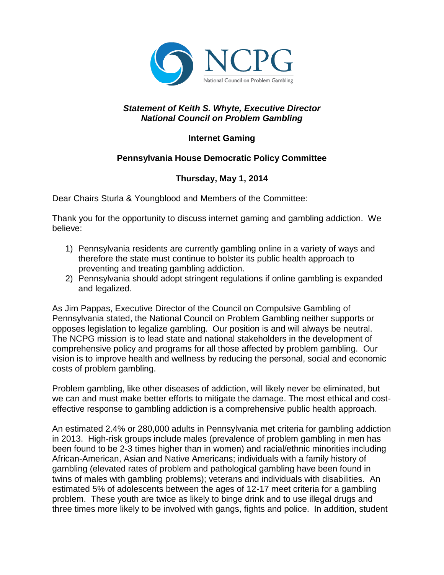

## *Statement of Keith S. Whyte, Executive Director National Council on Problem Gambling*

## **Internet Gaming**

## **Pennsylvania House Democratic Policy Committee**

## **Thursday, May 1, 2014**

Dear Chairs Sturla & Youngblood and Members of the Committee:

Thank you for the opportunity to discuss internet gaming and gambling addiction. We believe:

- 1) Pennsylvania residents are currently gambling online in a variety of ways and therefore the state must continue to bolster its public health approach to preventing and treating gambling addiction.
- 2) Pennsylvania should adopt stringent regulations if online gambling is expanded and legalized.

As Jim Pappas, Executive Director of the Council on Compulsive Gambling of Pennsylvania stated, the National Council on Problem Gambling neither supports or opposes legislation to legalize gambling. Our position is and will always be neutral. The NCPG mission is to lead state and national stakeholders in the development of comprehensive policy and programs for all those affected by problem gambling. Our vision is to improve health and wellness by reducing the personal, social and economic costs of problem gambling.

Problem gambling, like other diseases of addiction, will likely never be eliminated, but we can and must make better efforts to mitigate the damage. The most ethical and costeffective response to gambling addiction is a comprehensive public health approach.

An estimated 2.4% or 280,000 adults in Pennsylvania met criteria for gambling addiction in 2013. High-risk groups include males (prevalence of problem gambling in men has been found to be 2-3 times higher than in women) and racial/ethnic minorities including African-American, Asian and Native Americans; individuals with a family history of gambling (elevated rates of problem and pathological gambling have been found in twins of males with gambling problems); veterans and individuals with disabilities. An estimated 5% of adolescents between the ages of 12-17 meet criteria for a gambling problem. These youth are twice as likely to binge drink and to use illegal drugs and three times more likely to be involved with gangs, fights and police. In addition, student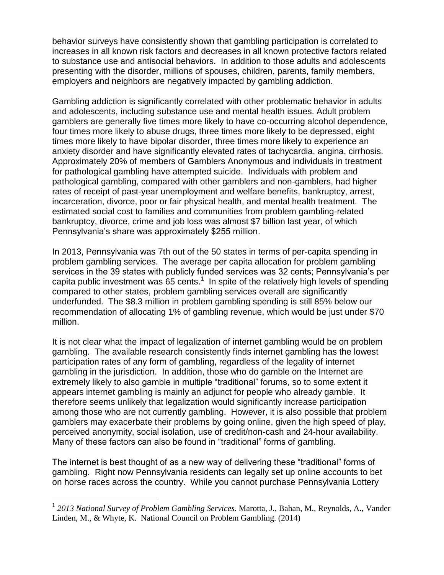behavior surveys have consistently shown that gambling participation is correlated to increases in all known risk factors and decreases in all known protective factors related to substance use and antisocial behaviors. In addition to those adults and adolescents presenting with the disorder, millions of spouses, children, parents, family members, employers and neighbors are negatively impacted by gambling addiction.

Gambling addiction is significantly correlated with other problematic behavior in adults and adolescents, including substance use and mental health issues. Adult problem gamblers are generally five times more likely to have co-occurring alcohol dependence, four times more likely to abuse drugs, three times more likely to be depressed, eight times more likely to have bipolar disorder, three times more likely to experience an anxiety disorder and have significantly elevated rates of tachycardia, angina, cirrhosis. Approximately 20% of members of Gamblers Anonymous and individuals in treatment for pathological gambling have attempted suicide. Individuals with problem and pathological gambling, compared with other gamblers and non-gamblers, had higher rates of receipt of past-year unemployment and welfare benefits, bankruptcy, arrest, incarceration, divorce, poor or fair physical health, and mental health treatment. The estimated social cost to families and communities from problem gambling-related bankruptcy, divorce, crime and job loss was almost \$7 billion last year, of which Pennsylvania's share was approximately \$255 million.

In 2013, Pennsylvania was 7th out of the 50 states in terms of per-capita spending in problem gambling services. The average per capita allocation for problem gambling services in the 39 states with publicly funded services was 32 cents; Pennsylvania's per capita public investment was  $65$  cents.<sup>1</sup> In spite of the relatively high levels of spending compared to other states, problem gambling services overall are significantly underfunded. The \$8.3 million in problem gambling spending is still 85% below our recommendation of allocating 1% of gambling revenue, which would be just under \$70 million.

It is not clear what the impact of legalization of internet gambling would be on problem gambling. The available research consistently finds internet gambling has the lowest participation rates of any form of gambling, regardless of the legality of internet gambling in the jurisdiction. In addition, those who do gamble on the Internet are extremely likely to also gamble in multiple "traditional" forums, so to some extent it appears internet gambling is mainly an adjunct for people who already gamble. It therefore seems unlikely that legalization would significantly increase participation among those who are not currently gambling. However, it is also possible that problem gamblers may exacerbate their problems by going online, given the high speed of play, perceived anonymity, social isolation, use of credit/non-cash and 24-hour availability. Many of these factors can also be found in "traditional" forms of gambling.

The internet is best thought of as a new way of delivering these "traditional" forms of gambling. Right now Pennsylvania residents can legally set up online accounts to bet on horse races across the country. While you cannot purchase Pennsylvania Lottery

 $\overline{a}$ 

<sup>&</sup>lt;sup>1</sup> 2013 National Survey of Problem Gambling Services. Marotta, J., Bahan, M., Reynolds, A., Vander Linden, M., & Whyte, K. National Council on Problem Gambling. (2014)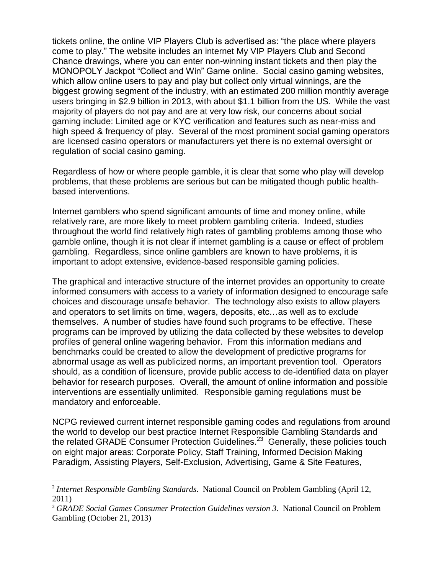tickets online, the online VIP Players Club is advertised as: "the place where players come to play." The website includes an internet My VIP Players Club and Second Chance drawings, where you can enter non-winning instant tickets and then play the MONOPOLY Jackpot "Collect and Win" Game online. Social casino gaming websites, which allow online users to pay and play but collect only virtual winnings, are the biggest growing segment of the industry, with an estimated 200 million monthly average users bringing in \$2.9 billion in 2013, with about \$1.1 billion from the US. While the vast majority of players do not pay and are at very low risk, our concerns about social gaming include: Limited age or KYC verification and features such as near-miss and high speed & frequency of play. Several of the most prominent social gaming operators are licensed casino operators or manufacturers yet there is no external oversight or regulation of social casino gaming.

Regardless of how or where people gamble, it is clear that some who play will develop problems, that these problems are serious but can be mitigated though public healthbased interventions.

Internet gamblers who spend significant amounts of time and money online, while relatively rare, are more likely to meet problem gambling criteria. Indeed, studies throughout the world find relatively high rates of gambling problems among those who gamble online, though it is not clear if internet gambling is a cause or effect of problem gambling. Regardless, since online gamblers are known to have problems, it is important to adopt extensive, evidence-based responsible gaming policies.

The graphical and interactive structure of the internet provides an opportunity to create informed consumers with access to a variety of information designed to encourage safe choices and discourage unsafe behavior. The technology also exists to allow players and operators to set limits on time, wagers, deposits, etc…as well as to exclude themselves. A number of studies have found such programs to be effective. These programs can be improved by utilizing the data collected by these websites to develop profiles of general online wagering behavior. From this information medians and benchmarks could be created to allow the development of predictive programs for abnormal usage as well as publicized norms, an important prevention tool. Operators should, as a condition of licensure, provide public access to de-identified data on player behavior for research purposes. Overall, the amount of online information and possible interventions are essentially unlimited. Responsible gaming regulations must be mandatory and enforceable.

NCPG reviewed current internet responsible gaming codes and regulations from around the world to develop our best practice Internet Responsible Gambling Standards and the related GRADE Consumer Protection Guidelines.<sup>23</sup> Generally, these policies touch on eight major areas: Corporate Policy, Staff Training, Informed Decision Making Paradigm, Assisting Players, Self-Exclusion, Advertising, Game & Site Features,

 $\overline{a}$ 

<sup>2</sup> *Internet Responsible Gambling Standards*. National Council on Problem Gambling (April 12, 2011)

<sup>3</sup> *GRADE Social Games Consumer Protection Guidelines version 3*. National Council on Problem Gambling (October 21, 2013)